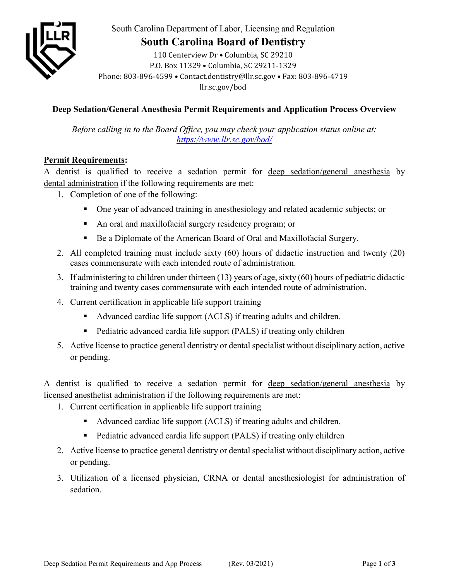

South Carolina Department of Labor, Licensing and Regulation

# **South Carolina Board of Dentistry**

110 Centerview Dr · Columbia, SC 29210 P.O. Box 11329 . Columbia, SC 29211-1329 Phone: 803-896-4599 · Contact.dentistry@llr.sc.gov · Fax: 803-896-4719 llr.sc.gov/bod

# **Deep Sedation/General Anesthesia Permit Requirements and Application Process Overview**

*Before calling in to the Board Office, you may check your application status online at: <https://www.llr.sc.gov/bod/>*

## **Permit Requirements:**

A dentist is qualified to receive a sedation permit for deep sedation/general anesthesia by dental administration if the following requirements are met:

- 1. Completion of one of the following:
	- One year of advanced training in anesthesiology and related academic subjects; or
	- An oral and maxillofacial surgery residency program; or
	- Be a Diplomate of the American Board of Oral and Maxillofacial Surgery.
- 2. All completed training must include sixty (60) hours of didactic instruction and twenty (20) cases commensurate with each intended route of administration.
- 3. If administering to children under thirteen (13) years of age, sixty (60) hours of pediatric didactic training and twenty cases commensurate with each intended route of administration.
- 4. Current certification in applicable life support training
	- Advanced cardiac life support (ACLS) if treating adults and children.
	- Pediatric advanced cardia life support (PALS) if treating only children
- 5. Active license to practice general dentistry or dental specialist without disciplinary action, active or pending.

A dentist is qualified to receive a sedation permit for deep sedation/general anesthesia by licensed anesthetist administration if the following requirements are met:

- 1. Current certification in applicable life support training
	- Advanced cardiac life support (ACLS) if treating adults and children.
	- Pediatric advanced cardia life support (PALS) if treating only children
- 2. Active license to practice general dentistry or dental specialist without disciplinary action, active or pending.
- 3. Utilization of a licensed physician, CRNA or dental anesthesiologist for administration of sedation.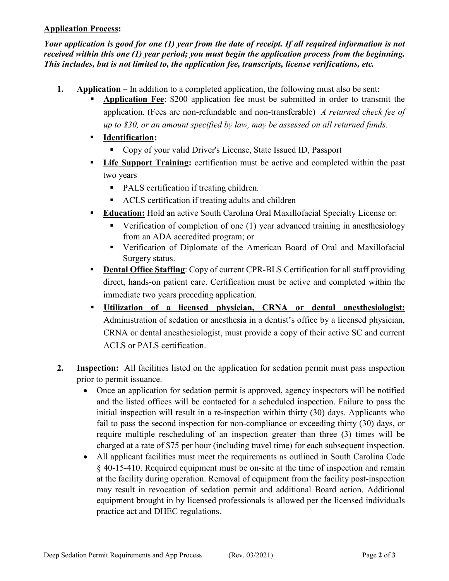### **Application Process:**

*Your application is good for one (1) year from the date of receipt. If all required information is not received within this one (1) year period; you must begin the application process from the beginning. This includes, but is not limited to, the application fee, transcripts, license verifications, etc.* 

- **1. Application** In addition to a completed application, the following must also be sent:
	- **Application Fee**: \$200 application fee must be submitted in order to transmit the application. (Fees are non-refundable and non-transferable) *A returned check fee of up to \$30, or an amount specified by law, may be assessed on all returned funds*.
	- **Identification:** 
		- Copy of your valid Driver's License, State Issued ID, Passport
	- **Life Support Training:** certification must be active and completed within the past two years
		- PALS certification if treating children.
		- ACLS certification if treating adults and children
	- **Education:** Hold an active South Carolina Oral Maxillofacial Specialty License or:
		- Verification of completion of one (1) year advanced training in anesthesiology from an ADA accredited program; or
		- Verification of Diplomate of the American Board of Oral and Maxillofacial Surgery status.
	- **Dental Office Staffing:** Copy of current CPR-BLS Certification for all staff providing direct, hands-on patient care. Certification must be active and completed within the immediate two years preceding application.
	- **Utilization of a licensed physician, CRNA or dental anesthesiologist:** Administration of sedation or anesthesia in a dentist's office by a licensed physician, CRNA or dental anesthesiologist, must provide a copy of their active SC and current ACLS or PALS certification.
- **2. Inspection:** All facilities listed on the application for sedation permit must pass inspection prior to permit issuance.
	- Once an application for sedation permit is approved, agency inspectors will be notified and the listed offices will be contacted for a scheduled inspection. Failure to pass the initial inspection will result in a re-inspection within thirty (30) days. Applicants who fail to pass the second inspection for non-compliance or exceeding thirty (30) days, or require multiple rescheduling of an inspection greater than three (3) times will be charged at a rate of \$75 per hour (including travel time) for each subsequent inspection.
	- All applicant facilities must meet the requirements as outlined in South Carolina Code § 40-15-410. Required equipment must be on-site at the time of inspection and remain at the facility during operation. Removal of equipment from the facility post-inspection may result in revocation of sedation permit and additional Board action. Additional equipment brought in by licensed professionals is allowed per the licensed individuals practice act and DHEC regulations.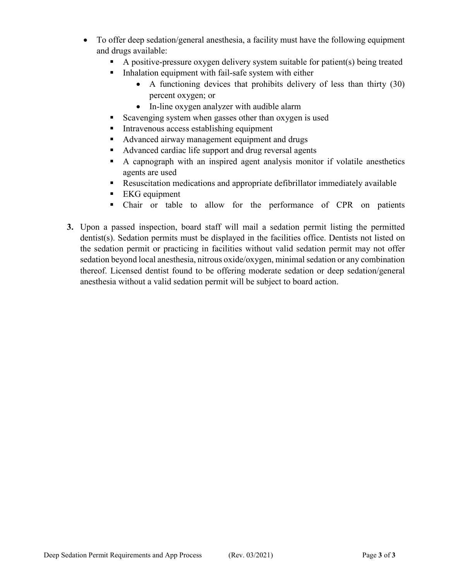- To offer deep sedation/general anesthesia, a facility must have the following equipment and drugs available:
	- A positive-pressure oxygen delivery system suitable for patient(s) being treated
	- $\blacksquare$  Inhalation equipment with fail-safe system with either
		- A functioning devices that prohibits delivery of less than thirty (30) percent oxygen; or
		- In-line oxygen analyzer with audible alarm
		- Scavenging system when gasses other than oxygen is used
	- Intravenous access establishing equipment
	- Advanced airway management equipment and drugs
	- Advanced cardiac life support and drug reversal agents
	- A capnograph with an inspired agent analysis monitor if volatile anesthetics agents are used
	- Resuscitation medications and appropriate defibrillator immediately available
	- EKG equipment
	- Chair or table to allow for the performance of CPR on patients
- **3.** Upon a passed inspection, board staff will mail a sedation permit listing the permitted dentist(s). Sedation permits must be displayed in the facilities office. Dentists not listed on the sedation permit or practicing in facilities without valid sedation permit may not offer sedation beyond local anesthesia, nitrous oxide/oxygen, minimal sedation or any combination thereof. Licensed dentist found to be offering moderate sedation or deep sedation/general anesthesia without a valid sedation permit will be subject to board action.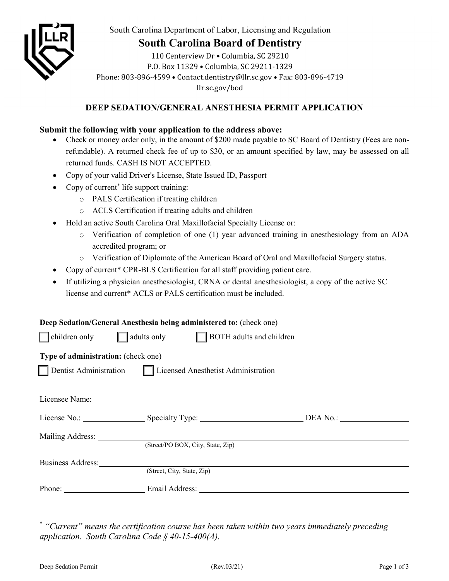

South Carolina Department of Labor, Licensing and Regulation

# **South Carolina Board of Dentistry**

110 Centerview Dr · Columbia, SC 29210 P.O. Box 11329 . Columbia. SC 29211-1329 Phone: 803-896-4599 • Contact.dentistry@llr.sc.gov • Fax: 803-896-4719 llr.sc.gov/bod

## **DEEP SEDATION/GENERAL ANESTHESIA PERMIT APPLICATION**

### **Submit the following with your application to the address above:**

- Check or money order only, in the amount of \$200 made payable to SC Board of Dentistry (Fees are nonrefundable). A returned check fee of up to \$30, or an amount specified by law, may be assessed on all returned funds. CASH IS NOT ACCEPTED.
- Copy of your valid Driver's License, State Issued ID, Passport
- Copy of current<sup>[\\*](#page-3-0)</sup> life support training:
	- o PALS Certification if treating children
	- o ACLS Certification if treating adults and children
- Hold an active South Carolina Oral Maxillofacial Specialty License or:
	- o Verification of completion of one (1) year advanced training in anesthesiology from an ADA accredited program; or
	- o Verification of Diplomate of the American Board of Oral and Maxillofacial Surgery status.
- Copy of current\* CPR-BLS Certification for all staff providing patient care.
- If utilizing a physician anesthesiologist, CRNA or dental anesthesiologist, a copy of the active SC license and current\* ACLS or PALS certification must be included.

|                                                              | Deep Sedation/General Anesthesia being administered to: (check one)                                                                                                                                                            |  |  |
|--------------------------------------------------------------|--------------------------------------------------------------------------------------------------------------------------------------------------------------------------------------------------------------------------------|--|--|
| children only                                                | adults only $\Box$ BOTH adults and children                                                                                                                                                                                    |  |  |
| Type of administration: (check one)                          |                                                                                                                                                                                                                                |  |  |
| Dentist Administration   Licensed Anesthetist Administration |                                                                                                                                                                                                                                |  |  |
|                                                              |                                                                                                                                                                                                                                |  |  |
|                                                              | Licensee Name: Name: Name: Name: Name: Name: Name: Name: Name: Name: Name: Name: Name: Name: Name: Name: Name: Name: Name: Name: Name: Name: Name: Name: Name: Name: Name: Name: Name: Name: Name: Name: Name: Name: Name: Nam |  |  |
|                                                              |                                                                                                                                                                                                                                |  |  |
|                                                              |                                                                                                                                                                                                                                |  |  |
|                                                              | (Street/PO BOX, City, State, Zip)                                                                                                                                                                                              |  |  |
| Business Address:                                            |                                                                                                                                                                                                                                |  |  |
|                                                              | (Street, City, State, Zip)                                                                                                                                                                                                     |  |  |
|                                                              |                                                                                                                                                                                                                                |  |  |
|                                                              |                                                                                                                                                                                                                                |  |  |

<span id="page-3-0"></span>\* *"Current" means the certification course has been taken within two years immediately preceding application. South Carolina Code § 40-15-400(A).*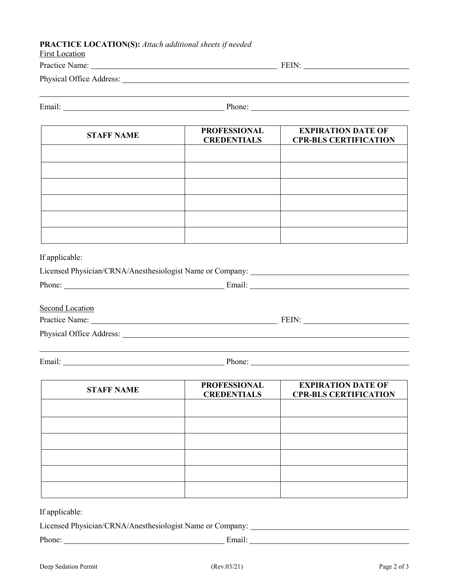#### **PRACTICE LOCATION(S):** *Attach additional sheets if needed*

| <b>First Location</b>                                                                                                                                                                                                          |                                           |                                                           |  |
|--------------------------------------------------------------------------------------------------------------------------------------------------------------------------------------------------------------------------------|-------------------------------------------|-----------------------------------------------------------|--|
|                                                                                                                                                                                                                                |                                           |                                                           |  |
| Physical Office Address: New York 1988.                                                                                                                                                                                        |                                           |                                                           |  |
| Email: Phone: Phone: Phone: Phone: Phone: Phone: Phone: Phone: Phone: Phone: Phone: Phone: Phone: Phone: Phone: Phone: Phone: Phone: Phone: Phone: Phone: Phone: Phone: Phone: Phone: Phone: Phone: Phone: Phone: Phone: Phone |                                           |                                                           |  |
| <b>STAFF NAME</b>                                                                                                                                                                                                              | <b>PROFESSIONAL</b><br><b>CREDENTIALS</b> | <b>EXPIRATION DATE OF</b><br><b>CPR-BLS CERTIFICATION</b> |  |
|                                                                                                                                                                                                                                |                                           |                                                           |  |
|                                                                                                                                                                                                                                |                                           |                                                           |  |
|                                                                                                                                                                                                                                |                                           |                                                           |  |
| If applicable:                                                                                                                                                                                                                 |                                           |                                                           |  |
|                                                                                                                                                                                                                                |                                           |                                                           |  |
| <b>Second Location</b>                                                                                                                                                                                                         |                                           |                                                           |  |
|                                                                                                                                                                                                                                |                                           |                                                           |  |
|                                                                                                                                                                                                                                |                                           |                                                           |  |
|                                                                                                                                                                                                                                |                                           |                                                           |  |
| <b>STAFF NAME</b>                                                                                                                                                                                                              | <b>PROFESSIONAL</b><br><b>CREDENTIALS</b> | <b>EXPIRATION DATE OF</b><br><b>CPR-BLS CERTIFICATION</b> |  |
|                                                                                                                                                                                                                                |                                           |                                                           |  |
|                                                                                                                                                                                                                                |                                           |                                                           |  |
|                                                                                                                                                                                                                                |                                           |                                                           |  |
|                                                                                                                                                                                                                                |                                           |                                                           |  |

If applicable:

Licensed Physician/CRNA/Anesthesiologist Name or Company:

Phone: Email: